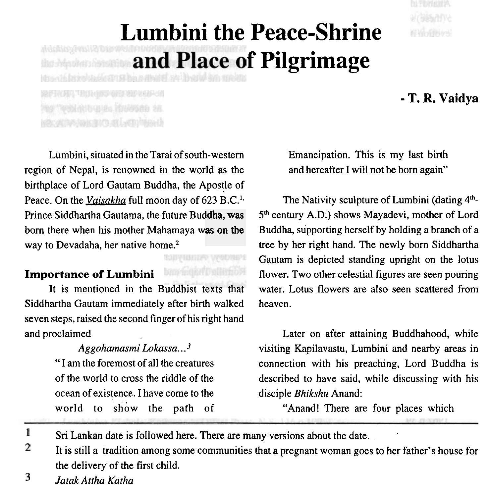# **Lumbini the Peace-Shrine**  and Place of Pilgrimage

RFROM TESH ONE ON SEP SEP OF Hartwellnutugun, foulosen ze. hacemy loss to at lamphent

- **T. R. Vaidya** 

Lumbini, situated in the Tarai of south-western region of Nepal, is renowned in the world as the birthplace of Lord Gautam Buddha, the Apostle of Peace. On the *Vaisakha* full moon day of 623 B.C.'. Prince Siddhartha Gautama, the future Bud**dha, was** born there when his mother Mahamaya was on the way to Devadaha, her native home.<sup>2</sup>

# **Importance of Lumbini**

It is mentioned in the Buddhist texts that Siddhartha Gautam immediately after birth walked seven steps, raised the second finger of his right hand and proclaimed

> *Aggohamasrni Lokassa..* **.3**  " I am the foremost of all the creatures of the world to cross the riddle of the ocean of existence. I have come to the world to show the path of

Emancipation. This is my last birth and hereafter I will not be born again"

The Nativity sculpture of Lumbini (dating **41h-**5<sup>th</sup> century A.D.) shows Mayadevi, mother of Lord Buddha, supporting herself by holding a branch of a tree by her right hand. The newly born Siddhartha Gautam is depicted standing upright on the lotus flower. Two other celestial figures are seen pouring water. Lotus flowers are also seen scattered from heaven.

Later on after attaining Buddhahood, while visiting Kapilavastu, Lumbini and nearby areas in connection with his preaching, Lord Buddha is described to have said, while discussing with his disciple *Bhikshu* Anand:

"Anand! There are four places which

.

 $\mathbf{I}$ Sri Lankan date is followed here. There are many versions about the date. .

RODYNSEEPN WODNEPE **ban meast Dullinhort** 

 $\overline{2}$ It is still a tradition among some communities that a pregnant woman goes to her father's house for the delivery of the first child.

3 *Jatak* **Attha** *Katha*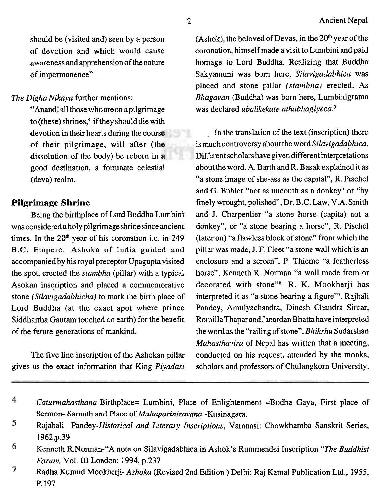should be (visited and) seen by a person of devotion and which would cause awareness and apprehension of the nature of impermanence"

*The Digha Nikaya* further mentions:

"Anand! all those whoare on apilgrimage to (these) shrines,<sup>4</sup> if they should die with devotion in their hearts during the course of their pilgrimage, will after (the dissolution of the body) be reborn in a good destination, a fortunate celestial (deva) realm.

### **Pilgrimage Shrine**

Being the birthplace of Lord Buddha Lumbini was considered a holy pilgrimage shrine since ancient times. In the  $20<sup>th</sup>$  year of his coronation i.e. in 249 B.C. Emperor Ashoka of India guided and accompanied by his royal preceptor Upagupta visited the spot, erected the *stambha* (pillar) with a typical Asokan inscription and placed a commemorative stone *(Silavigadabhicha)* to mark the birth place of Lord Buddha (at the exact spot where prince Siddhartha Gautam touched on earth) for the benefit of the future generations of mankind.

The five line inscription of the Ashokan pillar gives us the exact information that King *Piyadasi*  (Ashok), the beloved of Devas, in the  $20<sup>th</sup>$  year of the coronation, himself made a visit to Lumbini and paid homage to Lord Buddha. Realizing that Buddha Sakyamuni was born here, *Silavigadabhica* was placed and stone pillar *(stambha)* erected. As *Bhagavan* (Buddha) was born here, Lumbinigrama was declared *ubalikekate athabhagiyeca*.<sup>5</sup>

In the translation of the text (inscription) there is much controversy about the word *Silavigadabhica.*  Different scholars have given different interpektions about the word. A. Barth and R. Basak explained it as "a stone image of she-ass as the capital", R. Pischel and *G.* Buhler "not as uncouth as a donkey" or "by finely wrought, polished", Dr. B.C. Law, V.A. Smith and J. Charpenlier "a stone horse (capita) not a donkey", or "a stone bearing a horse", R. Pischel (later on) "a flawless block of stone" from which the pillar was made, J. F. Fleet "a stone wall which is an enclosure and a screen", P. Thieme "a featherless horse", Kenneth R. Norman "a wall made from or decorated with stone"<sup>6</sup> R. K. Mookherji has interpreted it as "a stone bearing a figure"'. Rajbali Pandey, Amulyachandra, Dinesh Chandra Sircar, RomillaThapar and Janardan Bhatta have interpreted the word as the "railing of stone". *Bhikshu* Sudarshan *Mahasthavira* of Nepal has written that a meeting, conducted on his request, attended by the monks, scholars and professors of Chulangkorn University,

 $\overline{4}$ Caturmahasthana-Birthplace= Lumbini, Place of Enlightenment =Bodha Gaya, First place of Sermon- Sarnath and Place of *Mahapariniravana* - Kusinagara.

<sup>5</sup> Rajabali *Pandey-Historical and Literary Inscriptions,* Varanasi: Chowkhamba Sanskrit Series, 1962,p.39

<sup>6</sup> Kenneth R.Norrnan-"A note on Silavigadabhlca in Ashok's Rummendei Inscription *"The Buddhist Forum, Vol. III London: 1994, p.237* 

<sup>7</sup> Radha Kumnd Mookherji- *Ashoka* (Revised 2nd Edition ) Delhi: Raj Kamal Publication Ltd., 1955, P. 197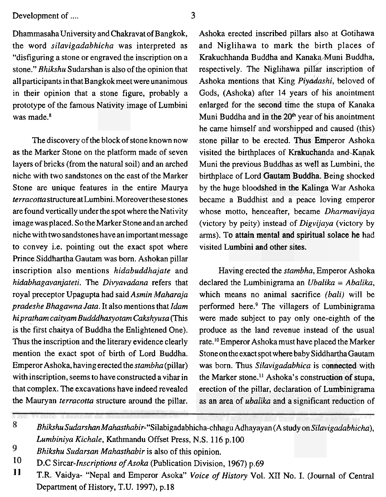Development of .... 3

DhammasahaUniversity and Chakravat of Bangkok, the word *silavigadabhicha* was interpreted as "disfiguring a stone or engraved the inscription on a stone." *Bhikshu* Sudarshan is also of the opinion that all participants in that Bangkok meet were unanimous in their opinion that a stone figure, probably a prototype of the famous Nativity image of Lumbini was made.<sup>8</sup>

The discovery of the block of stone known now as the Marker Stone on the platform made of seven layers of bricks (from the natural soil) and an arched niche with two sandstones on the east of the Marker Stone are unique features in the entire Maurya *terracotta* structure at Lumbini. Moreover these stones are found vertically under the spot where the Nativity image was placed. So the Marker Stone and an arched niche with two sandstones have an important message to convey i.e. pointing out the exact spot where Prince Siddhartha Gautam was born. Ashokan pillar inscription also mentions *hidabuddhajate* and *hidabhagavanjateti.* The *Divyavadana* refers that royal preceptor Upagupta had said *Asmin Maharaja pradeshe Bhagawna Jata.* It also mentions that **Idarn**  *hipratham caityam Budddhasyotam Cakshyusa* (This is the fitst chaitya of Buddha the Enlightened One). Thus the inscription and the literary evidence clearly mention the exact spot of birth of Lord Buddha. Emperor Ashoka, havingerected the *stambha* (pillar) with inscription, seems to have constructed a vihar in that complex. The excavations have indeed revealed the Mauryan *terracotta* structure around the pillar.

Ashoka erected inscribed pillars also at Gotihawa and Niglihawa to mark the birth places of Krakuchhanda Buddha and Kanaka Muni Buddha, respectively. The Niglihawa pillar inscription of Ashoka mentions that King *Piydashi,* beloved of Gods, (Ashoka) after 14 years of his anointment enlarged for the second time the stupa of Kanaka Muni Buddha and in the 20<sup>th</sup> year of his anointment<br>he came himself and worshipped and caused (this) he came himself and worshipped and caused (this) stone pillar to be erected. Thus Emperor Ashoka visited the birthplaces of Krakuchanda and Kanak Muni the previous Buddhas as well as Lumbini, the birthplace of Lord Gautam Buddha. Being shocked by the huge bloodshed in the Kalinga War Ashoka became a Buddhist and a peace loving emperor whose motto, henceafter, became *Dhannavijaya*  (victory by peity) instead of *Digvijaya* (victory by arms). To attain mental and spiritual solace he had visited Lumbini and other sites.

Having erected the *stambha,* Emperor Ashoka declared the Lumbinigrama an *Ubalika* = *Abalika,*  which means no animal sacrifice *(bali)* will be performed here? The villagers of Lumbinigrama were made subject to pay only one-eighth of the produce as the land revenue instead of the usual rate.1° Emperor Ashoka must have placed the Marker Stone on the exact spot where baby Siddhartha Gautam was born. Thus *Silavigadabhica* is connected with the Marker stone.<sup>11</sup> Ashoka's construction of stupa, erection of the pillar, declaration of Lumbinigrama as an area of *ubalika* and a significant reduction of

8 *Bhikshu Sudarshan Mahasthabir-"Silabigadabhicha-chhagu* Adhayayan (A study on *Silavigadabhicha),*  Lumbiniya Kichale, Kathmandu Offset Press, N.S. 116 p.100

- 9 *Bhikshu Sudarsan Mahasthabir* is also of this opinion.
- 10 D.C Sircar-*Inscriptions of Asoka* (Publication Division, 1967) p.69<br>11 T.P. Voidus, "Nopel and Emperor Asoka" Voice of History Vol.
- T.R. Vaidya- "Nepal and Emperor Asoka" *Voice of History* Vol. **XI1** No. I. (Journal of Central Department of History, **T.U.** 1997), p. 18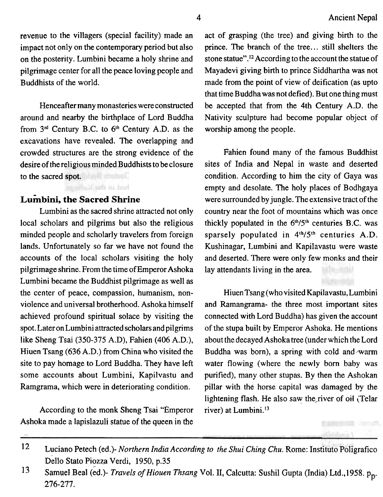revenue to the villagers (special facility) made an impact not only on the contemporary period but also on the posterity. Lumbini became a holy shrine and pilgrimage center for all the peace loving people and Buddhists of the world.

Henceafter many monasteries were constructed around and nearby the birthplace of Lord Buddha from  $3<sup>rd</sup>$  Century B.C. to  $6<sup>th</sup>$  Century A.D. as the excavations have revealed. The overlapping and crowded structures are the strong evidence of the desire of the religious minded Buddhists to be closure to the sacred spot.

hed in the Kallings

### **Lumbini, the Sacred Shrine**

Lumbini as the sacred shrine attracted not only local scholars and pilgrims but also the religious minded people and scholarly travelers from foreign lands. Unfortunately so far we have not found the accounts of the local scholars visiting the holy pilgrimage shrine. From the time of Emperor Ashoka Lumbini became the Buddhist pilgrimage as well as the center of peace, compassion, humanism, nonviolence and universal brotherhood. Ashoka himself achieved profound spiritual solace by visiting the spot. Later on Lumbini attracted scholars and pilgrims like Sheng Tsai (350-375 A.D), Fahien (406 A.D.), Hiuen Tsang (636 A.D.) from China who visited the site to pay homage to Lord Buddha. They have left some accounts about Lumbini, Kapilvastu and Ramgrama, which were in deteriorating condition.

According to the monk Sheng Tsai "Emperor Ashoka made a lapislazuli statue of the queen in the act of grasping (the tree) and giving birth to the prince. The branch of the tree.. . still shelters the stone statue".<sup>12</sup> According to the account the statue of Mayadevi giving birth to prince Siddhartha was not made from the point of view of deification (as upto that time Buddha was not defied). But one thing must be accepted that from the 4th Century A.D. the Nativity sculpture had become popular object of worship among the people.

Fahien found many of the famous Buddhist sites of India and Nepal in waste and deserted condition. According to him the city of Gaya was empty and desolate. The holy places of Bodhgaya were surrounded by jungle. The extensive tract of the country near the foot of mountains which was once thickly populated in the  $6<sup>th</sup>/5<sup>th</sup>$  centuries B.C. was sparsely populated in  $4<sup>th</sup>/5<sup>th</sup>$  centuries A.D. Kushinagar, Lumbini and Kapilavastu were waste and deserted. There were only few monks and their lay attendants living in the area.

Hiuen Tsang (who visited Kapilavastu, Lumbini and Ramangrama- the three most important sites connected with Lord Buddha) has given the account of the stupa built by Emperor Ashoka. He mentions about the decayed Ashoka tree (under which the Lord Buddha was born), a spring with cold and warm water flowing (where the newly born baby was purified), many other stupas. By then the Ashokan pillar with the horse capital was damaged **by** the lightening flash. He also saw the river of oil *(Telar* river) at Lumbini.<sup>13</sup>

> **ENNING SCHOS** Anticheris I

l2 Luciano Petech (ed.)- *Northern India According to the Shui Ching Chu.* Rome: Instltuto Poligrafico Dello Stato Piozza Verdi, 1950, p.35

<sup>13</sup> Samuel Beal (ed.)- *Travels of Hiouen Thsang Vol. II*, Calcutta: Sushil Gupta (India) Ltd.,1958. p<sub>p</sub>. 276-277.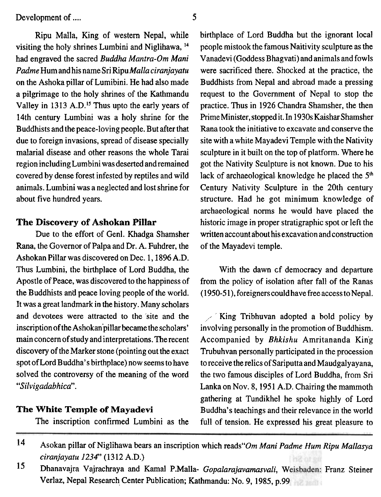Ripu Malla, King of western Nepal, while birthplace of Lord Buddha but the ignorant local

Rana, the Governor of Palpa and Dr. A. Fuhdrer, the of the Mayadevi temple. Ashokan Pillar was discovered on Dec. 1,1896 A.D. Thus Lumbini, the birthplace of Lord Buddha, the With the dawn of democracy and departure Apostle of Peace, was discovered to the happiness of from the policy of isolation after fall of the Ranas the Buddhists and peace loving people of the world. (1950-51), foreigners could have free access to Nepal. It was a great landmark in the history. Many scholars and devotees were attracted to the site and the  $\sim$  King Tribhuvan adopted a bold policy by inscription of the Ashokan pillar became the scholars' involving personally in the promotion of Buddhism. main concernofstudy and interpretations. Therecent Accompanied by *Bhkishu* Amritananda King discovery of the Marker stone (pointing out the exact Trubuhvan personally participated in the procession spot of Lord Buddha's birthplace) now seems to have to receive the relics of Sariputta and Maudgaly ayana, solved the controversy of the meaning of the word the two famous disciples of Lord Buddha, from Sri *"Silvigadabhica".* Lanka on Nov. 8,1951 A.D. Chairing the mammoth

visiting the holy shrines Lumbini and Niglihawa, <sup>14</sup> people mistook the famous Naitivity sculpture as the had engraved the sacred *Buddha Mantra-Om Mani* Vanadevi (Goddess B hagvati) and animals and fowls *Padme* Hum and his name Sri Ripu *Malla ciranjayatu* were sacrificed there. Shocked at the practice, the on the Ashoka pillar of Lumibini. He had also made Buddhists from Nepal and abroad made a pressing a pilgrimage to the holy shrines of the Kathmandu request to the Government of Nepal to stop the Valley in 1313 A.D.<sup>15</sup> Thus upto the early years of practice. Thus in 1926 Chandra Shamsher, the then 14th century Lumbini was a holy shrine for the **PrimeMinister,stoppedit.In** 1930sKaisharShamsher Buddhists and the peace-loving people. But after that Rana took the initiative to excavate and conserve the due to foreign invasions, spread of disease specially site with a white Mayadevi Temple with the Nativity malarial disease and other reasons the whole Tarai sculpture in it built on the top of platform. Where he region including Lumbini wasdeserted andremained got the Nativity Sculpture is not known. Due to his covered by dense forest infested by reptiles and wild lack of archaeological knowledge he placed the 5<sup>th</sup> animals. Lumbini was a neglected and lost shrine for Century Nativity Sculpture in the 20th century about five hundred years. structure. Had he got minimum knowledge of archaeological norms he would have placed the **The Discovery of Ashokan Pillar** historic image in proper stratigraphic spot or left the Due to the effort of Genl. Khadga Shamsher written account about his excavation and construction

involving personally in the promotion of Buddhism. gathering at Tundikhel he spoke highly of Lord **The White Temple of Mayadevi** Buddha's teachings and their relevance in the world The inscription confirmed Lumbini as the full of tension. He expressed his great pleasure to

<sup>14</sup> Asokan pillar of Niglihawa bears an inscription which reads "Om Mani Padme Hum Ripu Mallasya" *ciranjayatu 1234"* (1312 A.D.)

<sup>15</sup> Dhanavajra Vajrachraya and Kamal P.Malla- *Gopalarajavamasvali*, Weisbaden: Franz Steiner Verlaz, Nepal Research Center Publication; Kathmandu: No. 9, 1985, p.99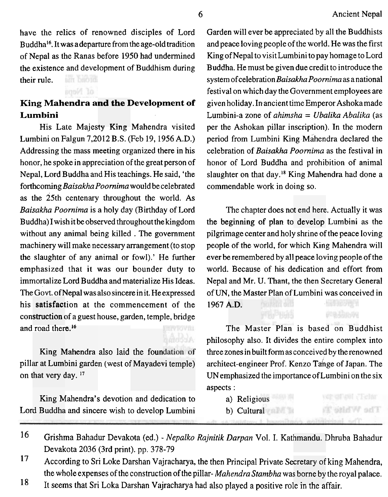have the relics of renowned disciples of Lord Buddha16. It was adeparture from the age-old tradition of Nepal as the Ranas before 1950 had undermined the existence and development of Buddhism during their rule.

# King Mahendra a<mark>nd the D</mark>evelopment of **Lumbini**

of Neps

His Late Majesty King Mahendra visited Lumbini on Falgun 7,2012 B.S. (Feb 19, 1956 A.D.) Addressing the mass meeting organized there in his honor, he spoke in appreciation of the great person of Nepal, Lord Buddha and His teachings. He said, 'the forthcoming *Baisakha Poomima* would be celebrated as the 25th centenary throughout the world. As *Baisakha Poornima* is a holy day (Birthday of Lord Buddha) I wish it be observed throughout the kingdom without any animal being killed . The government machinery will make necessary arrangement (to stop the slaughter of any animal or fowl).' He further emphasized that it was our bounder duty to immortalize Lord Buddha and materialize His Ideas. The Govt. of Nepal was also sincere in it. He expressed his satisfaction at the commencement of the construction of a guest house, garden, temple, bridge construction of a g<br>and road there.<sup>16</sup> Accomp

**zrang Transfers also take the foundation** of on that very day.<sup>17</sup> King Mahendra also laid the found

Lord Buddha and sincere wish to develop Lumbini King Mahendra's devotion and dedication to Garden will ever be appreciated by all the Buddhists and peace loving people of the world. He was the first King of Nepal to visit Lumbini to pay homage to Lord Buddha. He must be given due credit to introduce the system ofcelebration *Baisakha Poornima* as anational festival on which day the Government employees are given holiday. In ancient time Emperor Ashokamade Lumbini-a zone of *alzimsha* = *Ubalika Abalihz* (as per the Ashokan pillar inscription). In the modern period from Lumbini King Mahendra declared the celebration of *Baisakha Poornima* as the festival in honor of Lord Buddha and prohibition of animal slaughter on that day.18 King Mahendra had done a commendable work in doing so.

The chapter does not end here. Actually it was the beginning of plan to develop Lumbini as the pilgrimage center and holy shrine of the peace loving people of the world, for which King Mahendra will ever be remembered by all peace loving people of the world. Because of his dedication and effort from Nepal and Mr. U. Thant, the then Secretary General of UN, the Master Plan of Lumbini was conceived in 1967 A.D.

The Master Plan is based on Buddhist philosophy also. It divides the entire complex into three zones in built form as conceived by the renowned architect-engineer Prof. Kenzo Tange of Japan. The UNemphasized the importance of Lumbini on the six aspects :

The White **T** 

- a) Religious
- b) Cultural

<sup>16</sup> Grishma Bahadur Devakota (ed.) - *Nepalko Rajnitik Darpan* Vol. I. Kathmandu. Dhruba Bahadur Devakota 2036 (3rd print). pp. 378-79

the whole expenses of the construction of the pillar-*Mahendra Stambha* was borne by the rolr; **18**<br>It seems that Sri Loka Darshan Vajracharya had also played a positive role in the affair.

<sup>17</sup> According to Sri Loke Darshan Vajracharya, the then Principal Private Secretary of king Mahendra, the whole expenses of the construction of the pillar-*Mahendra Stambha* was borne by the royal palace.